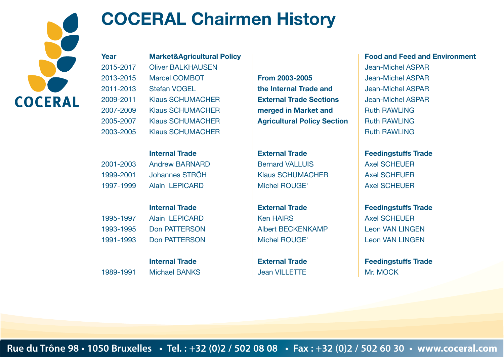

## **COCERAL Chairmen History**

**Year** 2015-2017 2013-2015 2011-2013 2009-2011 2007-2009 2005-2007 2003-2005

1989-1991

| <b>Market&amp;Agricultural Policy</b> |
|---------------------------------------|
| <b>Oliver BALKHAUSEN</b>              |
| <b>Marcel COMBOT</b>                  |
| <b>Stefan VOGEL</b>                   |
| <b>Klaus SCHUMACHER</b>               |
| <b>Klaus SCHUMACHER</b>               |
| <b>Klaus SCHUMACHER</b>               |
| <b>Klaus SCHUMACHER</b>               |

2001-2003 1999-2001 1997-1999 **Internal Trade** Andrew BARNARD Johannes STRÖH Alain LEPICARD

1995-1997 1993-1995 1991-1993 **Internal Trade** Alain LEPICARD Don PATTERSON Don PATTERSON

> **Internal Trade** Michael BANKS

**From 2003-2005 the Internal Trade and External Trade Sections merged in Market and Agricultural Policy Section**

**External Trade** Bernard VALLUIS Klaus SCHUMACHER Michel ROUGE'

**External Trade** Ken HAIRS Albert BECKENKAMP Michel ROUGE'

**External Trade** Jean VILLETTE

## **Food and Feed and Environment**

Jean-Michel ASPAR Jean-Michel ASPAR Jean-Michel ASPAR Jean-Michel ASPAR Ruth RAWLING Ruth RAWLING Ruth RAWLING

**Feedingstuffs Trade** Axel SCHEUER Axel SCHEUER Axel SCHEUER

**Feedingstuffs Trade** Axel SCHEUER Leon VAN LINGEN Leon VAN LINGEN

**Feedingstuffs Trade** Mr. MOCK

**Rue du Trône 98 • 1050 Bruxelles • Tel. : +32 (0)2 / 502 08 08 • Fax : +32 (0)2 / 502 60 30 • www.coceral.com**